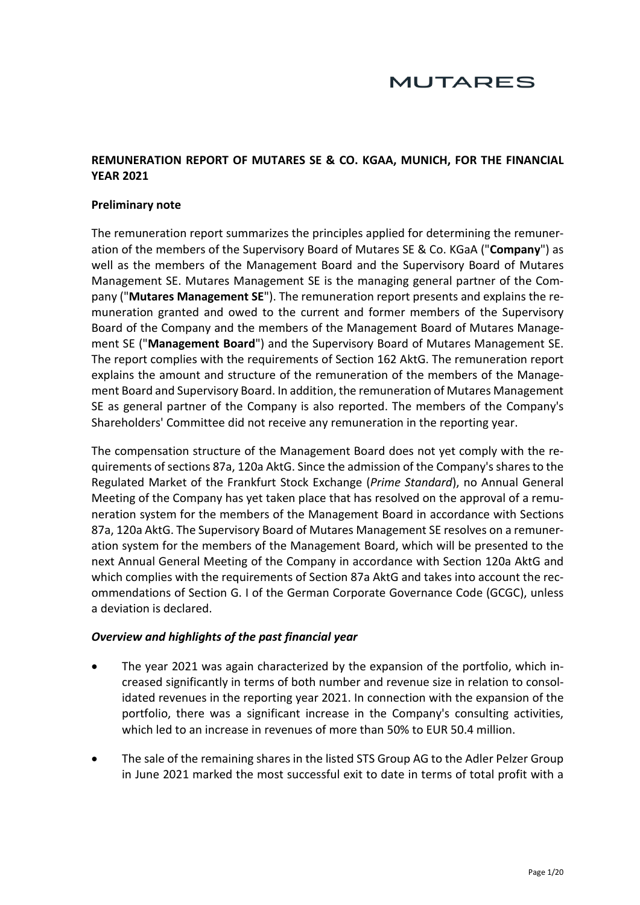# **MUTARES**

# **REMUNERATION REPORT OF MUTARES SE & CO. KGAA, MUNICH, FOR THE FINANCIAL YEAR 2021**

#### **Preliminary note**

The remuneration report summarizes the principles applied for determining the remuneration of the members of the Supervisory Board of Mutares SE & Co. KGaA ("**Company**") as well as the members of the Management Board and the Supervisory Board of Mutares Management SE. Mutares Management SE is the managing general partner of the Company ("**Mutares Management SE**"). The remuneration report presents and explains the remuneration granted and owed to the current and former members of the Supervisory Board of the Company and the members of the Management Board of Mutares Management SE ("**Management Board**") and the Supervisory Board of Mutares Management SE. The report complies with the requirements of Section 162 AktG. The remuneration report explains the amount and structure of the remuneration of the members of the Management Board and Supervisory Board. In addition, the remuneration of Mutares Management SE as general partner of the Company is also reported. The members of the Company's Shareholders' Committee did not receive any remuneration in the reporting year.

The compensation structure of the Management Board does not yet comply with the requirements of sections 87a, 120a AktG. Since the admission of the Company's shares to the Regulated Market of the Frankfurt Stock Exchange (*Prime Standard*), no Annual General Meeting of the Company has yet taken place that has resolved on the approval of a remuneration system for the members of the Management Board in accordance with Sections 87a, 120a AktG. The Supervisory Board of Mutares Management SE resolves on a remuneration system for the members of the Management Board, which will be presented to the next Annual General Meeting of the Company in accordance with Section 120a AktG and which complies with the requirements of Section 87a AktG and takes into account the recommendations of Section G. I of the German Corporate Governance Code (GCGC), unless a deviation is declared.

#### *Overview and highlights of the past financial year*

- The year 2021 was again characterized by the expansion of the portfolio, which increased significantly in terms of both number and revenue size in relation to consolidated revenues in the reporting year 2021. In connection with the expansion of the portfolio, there was a significant increase in the Company's consulting activities, which led to an increase in revenues of more than 50% to EUR 50.4 million.
- The sale of the remaining shares in the listed STS Group AG to the Adler Pelzer Group in June 2021 marked the most successful exit to date in terms of total profit with a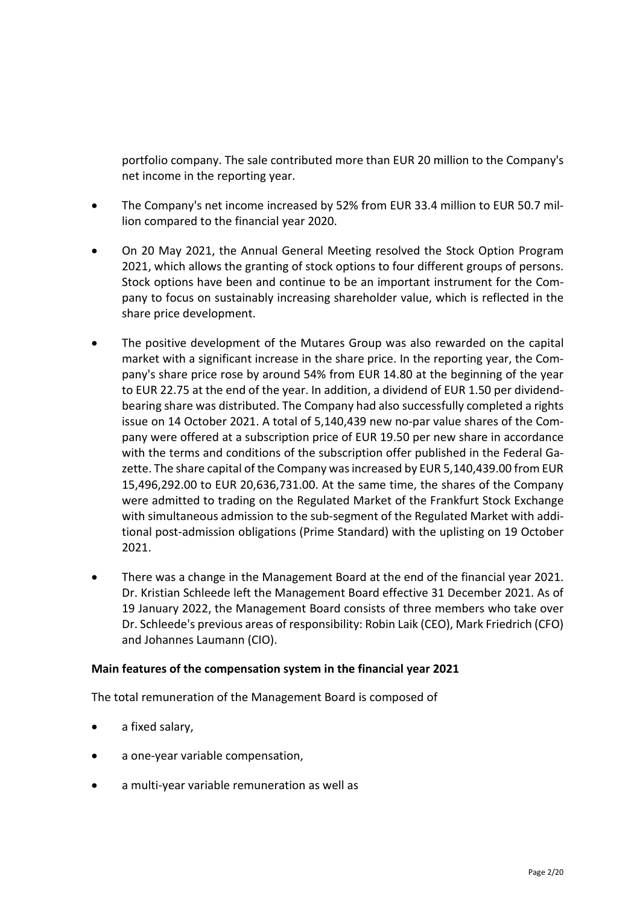portfolio company. The sale contributed more than EUR 20 million to the Company's net income in the reporting year.

- The Company's net income increased by 52% from EUR 33.4 million to EUR 50.7 million compared to the financial year 2020.
- On 20 May 2021, the Annual General Meeting resolved the Stock Option Program 2021, which allows the granting of stock options to four different groups of persons. Stock options have been and continue to be an important instrument for the Company to focus on sustainably increasing shareholder value, which is reflected in the share price development.
- The positive development of the Mutares Group was also rewarded on the capital market with a significant increase in the share price. In the reporting year, the Company's share price rose by around 54% from EUR 14.80 at the beginning of the year to EUR 22.75 at the end of the year. In addition, a dividend of EUR 1.50 per dividendbearing share was distributed. The Company had also successfully completed a rights issue on 14 October 2021. A total of 5,140,439 new no-par value shares of the Company were offered at a subscription price of EUR 19.50 per new share in accordance with the terms and conditions of the subscription offer published in the Federal Gazette. The share capital of the Company was increased by EUR 5,140,439.00 from EUR 15,496,292.00 to EUR 20,636,731.00. At the same time, the shares of the Company were admitted to trading on the Regulated Market of the Frankfurt Stock Exchange with simultaneous admission to the sub-segment of the Regulated Market with additional post-admission obligations (Prime Standard) with the uplisting on 19 October 2021.
- There was a change in the Management Board at the end of the financial year 2021. Dr. Kristian Schleede left the Management Board effective 31 December 2021. As of 19 January 2022, the Management Board consists of three members who take over Dr. Schleede's previous areas of responsibility: Robin Laik (CEO), Mark Friedrich (CFO) and Johannes Laumann (CIO).

### **Main features of the compensation system in the financial year 2021**

The total remuneration of the Management Board is composed of

- a fixed salary,
- a one-year variable compensation,
- a multi-year variable remuneration as well as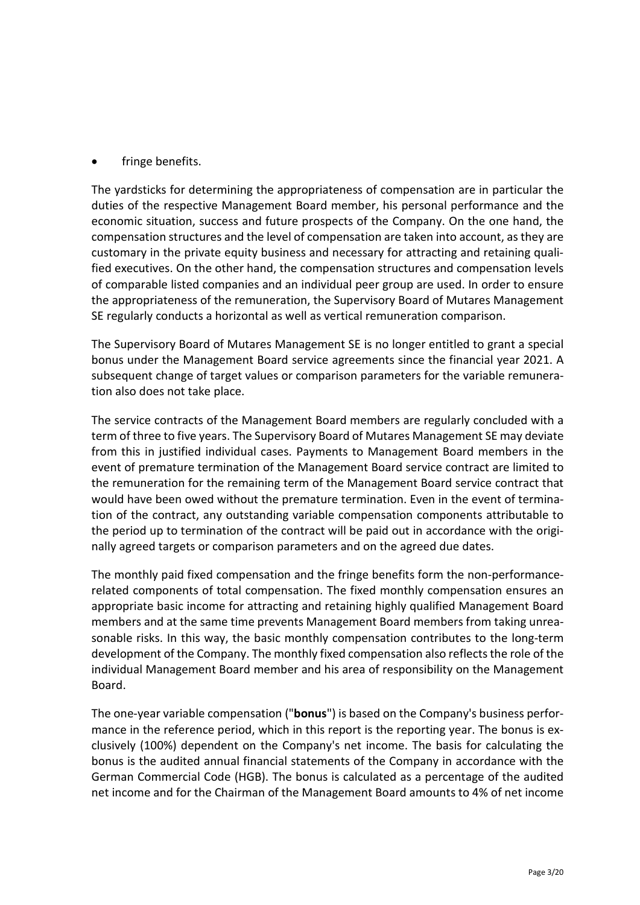# fringe benefits.

The yardsticks for determining the appropriateness of compensation are in particular the duties of the respective Management Board member, his personal performance and the economic situation, success and future prospects of the Company. On the one hand, the compensation structures and the level of compensation are taken into account, as they are customary in the private equity business and necessary for attracting and retaining qualified executives. On the other hand, the compensation structures and compensation levels of comparable listed companies and an individual peer group are used. In order to ensure the appropriateness of the remuneration, the Supervisory Board of Mutares Management SE regularly conducts a horizontal as well as vertical remuneration comparison.

The Supervisory Board of Mutares Management SE is no longer entitled to grant a special bonus under the Management Board service agreements since the financial year 2021. A subsequent change of target values or comparison parameters for the variable remuneration also does not take place.

The service contracts of the Management Board members are regularly concluded with a term of three to five years. The Supervisory Board of Mutares Management SE may deviate from this in justified individual cases. Payments to Management Board members in the event of premature termination of the Management Board service contract are limited to the remuneration for the remaining term of the Management Board service contract that would have been owed without the premature termination. Even in the event of termination of the contract, any outstanding variable compensation components attributable to the period up to termination of the contract will be paid out in accordance with the originally agreed targets or comparison parameters and on the agreed due dates.

The monthly paid fixed compensation and the fringe benefits form the non-performancerelated components of total compensation. The fixed monthly compensation ensures an appropriate basic income for attracting and retaining highly qualified Management Board members and at the same time prevents Management Board members from taking unreasonable risks. In this way, the basic monthly compensation contributes to the long-term development of the Company. The monthly fixed compensation also reflects the role of the individual Management Board member and his area of responsibility on the Management Board.

The one-year variable compensation ("**bonus**") is based on the Company's business performance in the reference period, which in this report is the reporting year. The bonus is exclusively (100%) dependent on the Company's net income. The basis for calculating the bonus is the audited annual financial statements of the Company in accordance with the German Commercial Code (HGB). The bonus is calculated as a percentage of the audited net income and for the Chairman of the Management Board amounts to 4% of net income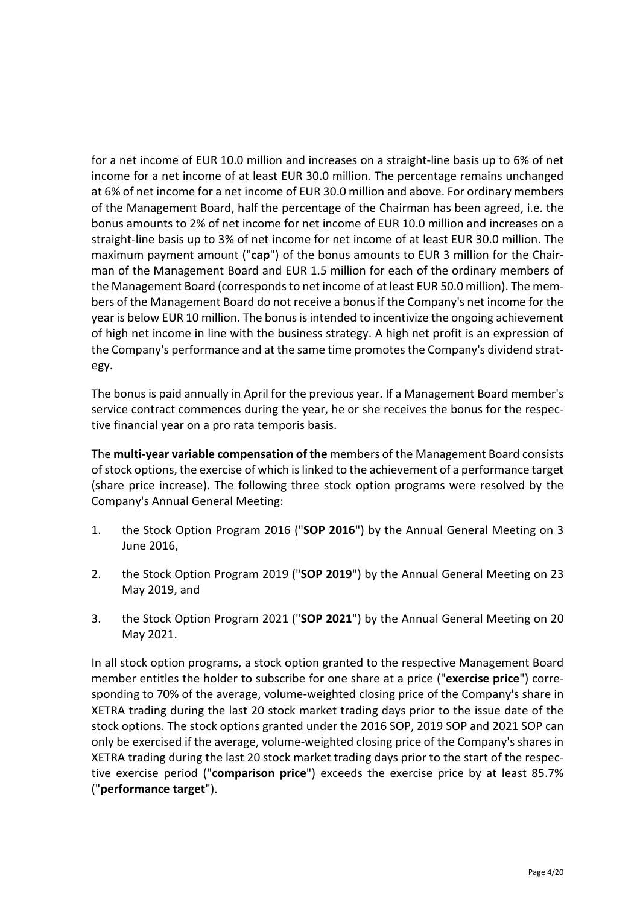for a net income of EUR 10.0 million and increases on a straight-line basis up to 6% of net income for a net income of at least EUR 30.0 million. The percentage remains unchanged at 6% of net income for a net income of EUR 30.0 million and above. For ordinary members of the Management Board, half the percentage of the Chairman has been agreed, i.e. the bonus amounts to 2% of net income for net income of EUR 10.0 million and increases on a straight-line basis up to 3% of net income for net income of at least EUR 30.0 million. The maximum payment amount ("**cap**") of the bonus amounts to EUR 3 million for the Chairman of the Management Board and EUR 1.5 million for each of the ordinary members of the Management Board (corresponds to net income of at least EUR 50.0 million). The members of the Management Board do not receive a bonus if the Company's net income for the year is below EUR 10 million. The bonus is intended to incentivize the ongoing achievement of high net income in line with the business strategy. A high net profit is an expression of the Company's performance and at the same time promotes the Company's dividend strategy.

The bonus is paid annually in April for the previous year. If a Management Board member's service contract commences during the year, he or she receives the bonus for the respective financial year on a pro rata temporis basis.

The **multi-year variable compensation of the** members of the Management Board consists of stock options, the exercise of which islinked to the achievement of a performance target (share price increase). The following three stock option programs were resolved by the Company's Annual General Meeting:

- 1. the Stock Option Program 2016 ("**SOP 2016**") by the Annual General Meeting on 3 June 2016,
- 2. the Stock Option Program 2019 ("**SOP 2019**") by the Annual General Meeting on 23 May 2019, and
- 3. the Stock Option Program 2021 ("**SOP 2021**") by the Annual General Meeting on 20 May 2021.

In all stock option programs, a stock option granted to the respective Management Board member entitles the holder to subscribe for one share at a price ("**exercise price**") corresponding to 70% of the average, volume-weighted closing price of the Company's share in XETRA trading during the last 20 stock market trading days prior to the issue date of the stock options. The stock options granted under the 2016 SOP, 2019 SOP and 2021 SOP can only be exercised if the average, volume-weighted closing price of the Company's shares in XETRA trading during the last 20 stock market trading days prior to the start of the respective exercise period ("**comparison price**") exceeds the exercise price by at least 85.7% ("**performance target**").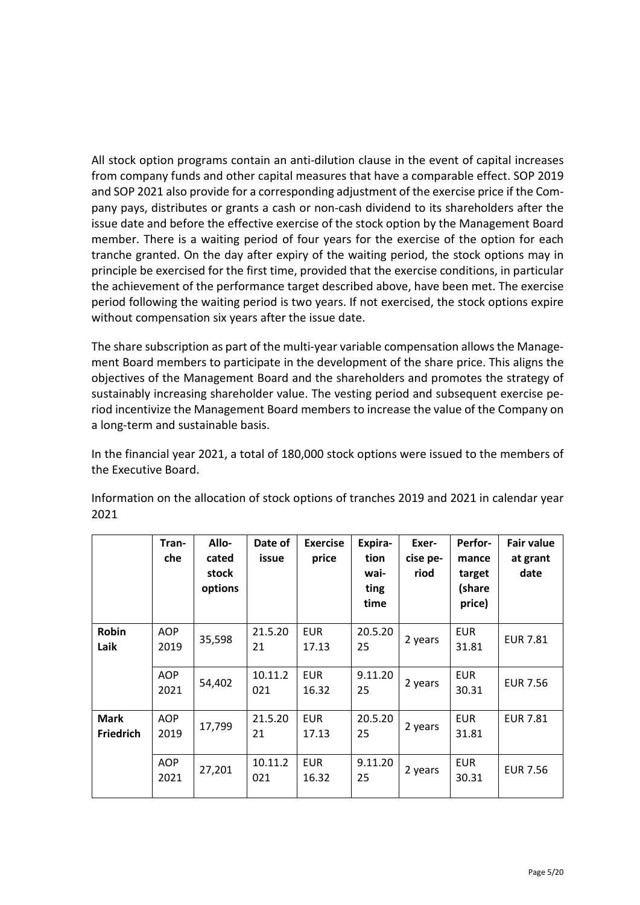All stock option programs contain an anti-dilution clause in the event of capital increases from company funds and other capital measures that have a comparable effect. SOP 2019 and SOP 2021 also provide for a corresponding adjustment of the exercise price if the Company pays, distributes or grants a cash or non-cash dividend to its shareholders after the issue date and before the effective exercise of the stock option by the Management Board member. There is a waiting period of four years for the exercise of the option for each tranche granted. On the day after expiry of the waiting period, the stock options may in principle be exercised for the first time, provided that the exercise conditions, in particular the achievement of the performance target described above, have been met. The exercise period following the waiting period is two years. If not exercised, the stock options expire without compensation six years after the issue date.

The share subscription as part of the multi-year variable compensation allows the Management Board members to participate in the development of the share price. This aligns the objectives of the Management Board and the shareholders and promotes the strategy of sustainably increasing shareholder value. The vesting period and subsequent exercise period incentivize the Management Board members to increase the value of the Company on a long-term and sustainable basis.

In the financial year 2021, a total of 180,000 stock options were issued to the members of the Executive Board.

|                                 | Tran-<br>che       | Allo-<br>cated<br>stock<br>options | Date of<br>issue | <b>Exercise</b><br>price | Expira-<br>tion<br>wai-<br>ting<br>time | Exer-<br>cise pe-<br>riod | <b>Perfor-</b><br>mance<br>target<br>(share<br>price) | <b>Fair value</b><br>at grant<br>date |
|---------------------------------|--------------------|------------------------------------|------------------|--------------------------|-----------------------------------------|---------------------------|-------------------------------------------------------|---------------------------------------|
| <b>Robin</b><br>Laik            | <b>AOP</b><br>2019 | 35,598                             | 21.5.20<br>21    | <b>EUR</b><br>17.13      | 20.5.20<br>25                           | 2 years                   | <b>EUR</b><br>31.81                                   | <b>EUR 7.81</b>                       |
|                                 | <b>AOP</b><br>2021 | 54,402                             | 10.11.2<br>021   | <b>EUR</b><br>16.32      | 9.11.20<br>25                           | 2 years                   | <b>EUR</b><br>30.31                                   | <b>EUR 7.56</b>                       |
| <b>Mark</b><br><b>Friedrich</b> | <b>AOP</b><br>2019 | 17,799                             | 21.5.20<br>21    | <b>EUR</b><br>17.13      | 20.5.20<br>25                           | 2 years                   | <b>EUR</b><br>31.81                                   | <b>EUR 7.81</b>                       |
|                                 | <b>AOP</b><br>2021 | 27,201                             | 10.11.2<br>021   | <b>EUR</b><br>16.32      | 9.11.20<br>25                           | 2 years                   | <b>EUR</b><br>30.31                                   | <b>EUR 7.56</b>                       |

Information on the allocation of stock options of tranches 2019 and 2021 in calendar year 2021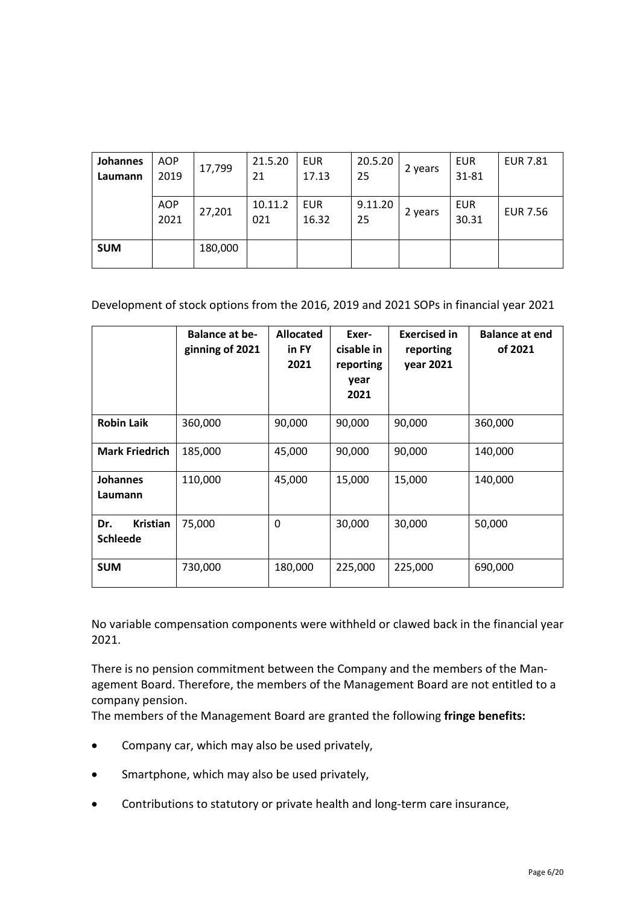| Johannes   | <b>AOP</b>         | 17,799  | 21.5.20        | <b>EUR</b>          | 20.5.20       |         | EUR                 | <b>EUR 7.81</b> |
|------------|--------------------|---------|----------------|---------------------|---------------|---------|---------------------|-----------------|
| Laumann    | 2019               |         | 21             | 17.13               | 25            | 2 years | 31-81               |                 |
|            |                    |         |                |                     |               |         |                     |                 |
|            | <b>AOP</b><br>2021 | 27,201  | 10.11.2<br>021 | <b>EUR</b><br>16.32 | 9.11.20<br>25 | 2 years | <b>EUR</b><br>30.31 | <b>EUR 7.56</b> |
| <b>SUM</b> |                    | 180,000 |                |                     |               |         |                     |                 |

# Development of stock options from the 2016, 2019 and 2021 SOPs in financial year 2021

|                                           | <b>Balance at be-</b><br>ginning of 2021 | <b>Allocated</b><br>in FY<br>2021 | Exer-<br>cisable in<br>reporting<br>year<br>2021 | <b>Exercised in</b><br>reporting<br>year 2021 | <b>Balance at end</b><br>of 2021 |
|-------------------------------------------|------------------------------------------|-----------------------------------|--------------------------------------------------|-----------------------------------------------|----------------------------------|
| <b>Robin Laik</b>                         | 360,000                                  | 90,000                            | 90,000                                           | 90,000                                        | 360,000                          |
| <b>Mark Friedrich</b>                     | 185,000                                  | 45,000                            | 90,000                                           | 90,000                                        | 140,000                          |
| <b>Johannes</b><br>Laumann                | 110,000                                  | 45,000                            | 15,000                                           | 15,000                                        | 140,000                          |
| <b>Kristian</b><br>Dr.<br><b>Schleede</b> | 75,000                                   | 0                                 | 30,000                                           | 30,000                                        | 50,000                           |
| <b>SUM</b>                                | 730,000                                  | 180,000                           | 225,000                                          | 225,000                                       | 690,000                          |

No variable compensation components were withheld or clawed back in the financial year 2021.

There is no pension commitment between the Company and the members of the Management Board. Therefore, the members of the Management Board are not entitled to a company pension.

The members of the Management Board are granted the following **fringe benefits:**

- Company car, which may also be used privately,
- Smartphone, which may also be used privately,
- Contributions to statutory or private health and long-term care insurance,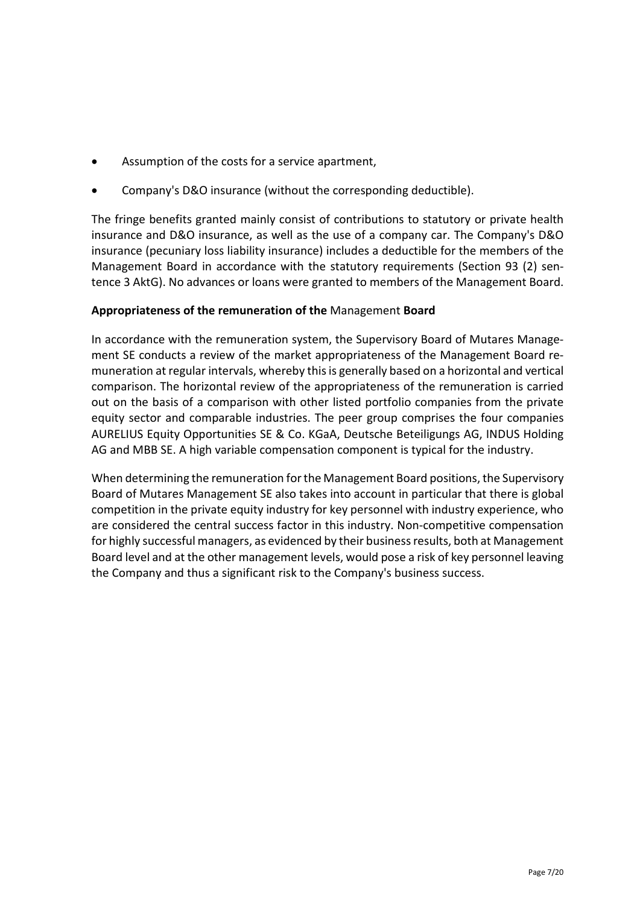- Assumption of the costs for a service apartment,
- Company's D&O insurance (without the corresponding deductible).

The fringe benefits granted mainly consist of contributions to statutory or private health insurance and D&O insurance, as well as the use of a company car. The Company's D&O insurance (pecuniary loss liability insurance) includes a deductible for the members of the Management Board in accordance with the statutory requirements (Section 93 (2) sentence 3 AktG). No advances or loans were granted to members of the Management Board.

# **Appropriateness of the remuneration of the** Management **Board**

In accordance with the remuneration system, the Supervisory Board of Mutares Management SE conducts a review of the market appropriateness of the Management Board remuneration at regular intervals, whereby this is generally based on a horizontal and vertical comparison. The horizontal review of the appropriateness of the remuneration is carried out on the basis of a comparison with other listed portfolio companies from the private equity sector and comparable industries. The peer group comprises the four companies AURELIUS Equity Opportunities SE & Co. KGaA, Deutsche Beteiligungs AG, INDUS Holding AG and MBB SE. A high variable compensation component is typical for the industry.

When determining the remuneration for the Management Board positions, the Supervisory Board of Mutares Management SE also takes into account in particular that there is global competition in the private equity industry for key personnel with industry experience, who are considered the central success factor in this industry. Non-competitive compensation for highly successful managers, as evidenced by their business results, both at Management Board level and at the other management levels, would pose a risk of key personnel leaving the Company and thus a significant risk to the Company's business success.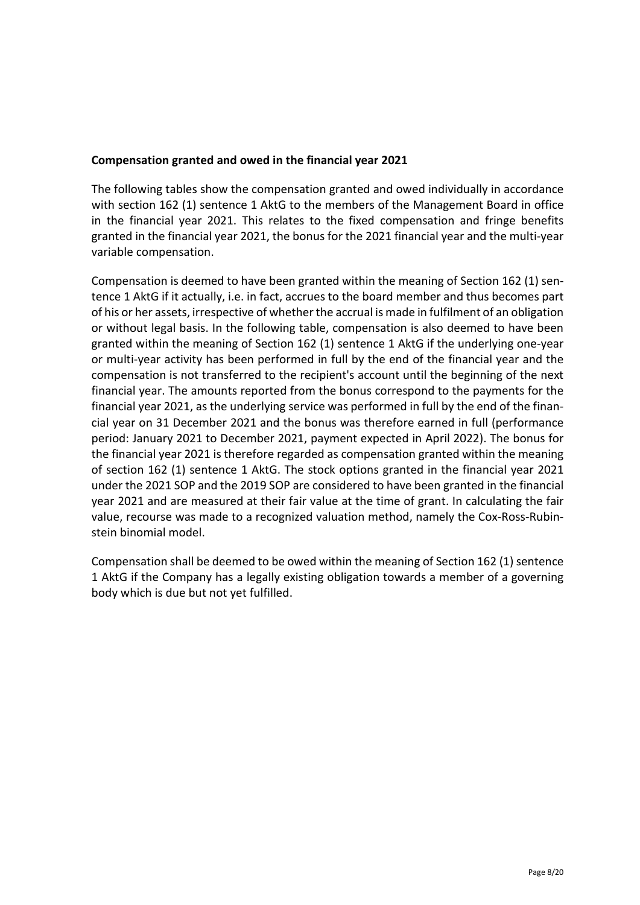# **Compensation granted and owed in the financial year 2021**

The following tables show the compensation granted and owed individually in accordance with section 162 (1) sentence 1 AktG to the members of the Management Board in office in the financial year 2021. This relates to the fixed compensation and fringe benefits granted in the financial year 2021, the bonus for the 2021 financial year and the multi-year variable compensation.

Compensation is deemed to have been granted within the meaning of Section 162 (1) sentence 1 AktG if it actually, i.e. in fact, accrues to the board member and thus becomes part of his or her assets, irrespective of whether the accrual is made in fulfilment of an obligation or without legal basis. In the following table, compensation is also deemed to have been granted within the meaning of Section 162 (1) sentence 1 AktG if the underlying one-year or multi-year activity has been performed in full by the end of the financial year and the compensation is not transferred to the recipient's account until the beginning of the next financial year. The amounts reported from the bonus correspond to the payments for the financial year 2021, as the underlying service was performed in full by the end of the financial year on 31 December 2021 and the bonus was therefore earned in full (performance period: January 2021 to December 2021, payment expected in April 2022). The bonus for the financial year 2021 is therefore regarded as compensation granted within the meaning of section 162 (1) sentence 1 AktG. The stock options granted in the financial year 2021 under the 2021 SOP and the 2019 SOP are considered to have been granted in the financial year 2021 and are measured at their fair value at the time of grant. In calculating the fair value, recourse was made to a recognized valuation method, namely the Cox-Ross-Rubinstein binomial model.

Compensation shall be deemed to be owed within the meaning of Section 162 (1) sentence 1 AktG if the Company has a legally existing obligation towards a member of a governing body which is due but not yet fulfilled.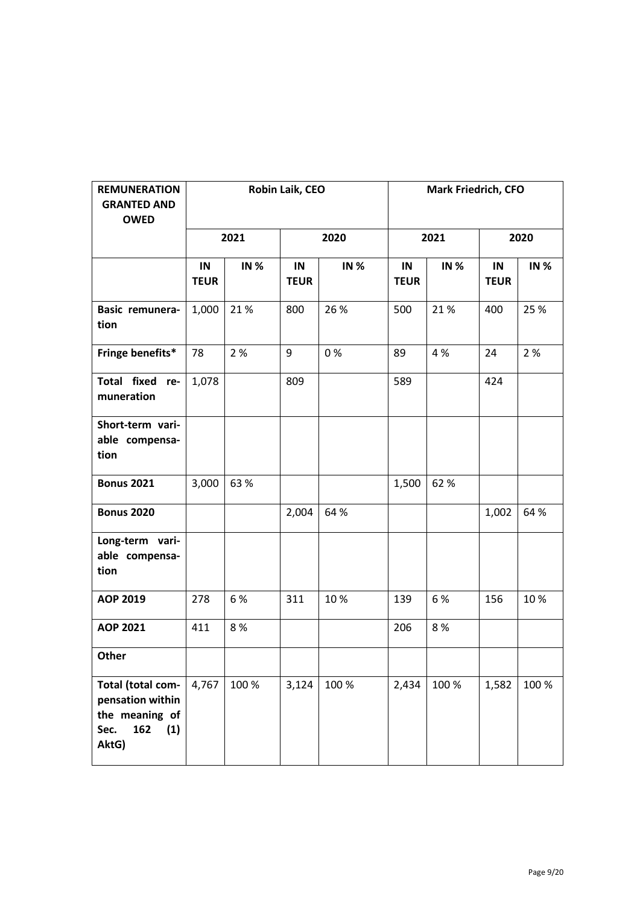| <b>REMUNERATION</b><br><b>GRANTED AND</b><br><b>OWED</b>                               |                   | Robin Laik, CEO |                   |             |                   | <b>Mark Friedrich, CFO</b> |                   |             |
|----------------------------------------------------------------------------------------|-------------------|-----------------|-------------------|-------------|-------------------|----------------------------|-------------------|-------------|
|                                                                                        |                   | 2021            | 2020              |             | 2021              |                            | 2020              |             |
|                                                                                        | IN<br><b>TEUR</b> | <b>IN %</b>     | IN<br><b>TEUR</b> | <b>IN %</b> | IN<br><b>TEUR</b> | <b>IN %</b>                | IN<br><b>TEUR</b> | <b>IN %</b> |
| Basic remunera-<br>tion                                                                | 1,000             | 21%             | 800               | 26 %        | 500               | 21%                        | 400               | 25 %        |
| Fringe benefits*                                                                       | 78                | 2 %             | 9                 | 0%          | 89                | 4 %                        | 24                | 2 %         |
| Total fixed re-<br>muneration                                                          | 1,078             |                 | 809               |             | 589               |                            | 424               |             |
| Short-term vari-<br>able compensa-<br>tion                                             |                   |                 |                   |             |                   |                            |                   |             |
| <b>Bonus 2021</b>                                                                      | 3,000             | 63%             |                   |             | 1,500             | 62%                        |                   |             |
| <b>Bonus 2020</b>                                                                      |                   |                 | 2,004             | 64 %        |                   |                            | 1,002             | 64 %        |
| Long-term vari-<br>able compensa-<br>tion                                              |                   |                 |                   |             |                   |                            |                   |             |
| AOP 2019                                                                               | 278               | 6 %             | 311               | 10%         | 139               | 6 %                        | 156               | 10%         |
| AOP 2021                                                                               | 411               | 8%              |                   |             | 206               | 8%                         |                   |             |
| Other                                                                                  |                   |                 |                   |             |                   |                            |                   |             |
| Total (total com-<br>pensation within<br>the meaning of<br>162<br>(1)<br>Sec.<br>AktG) | 4,767             | 100 %           | 3,124             | 100 %       | 2,434             | 100 %                      | 1,582             | 100 %       |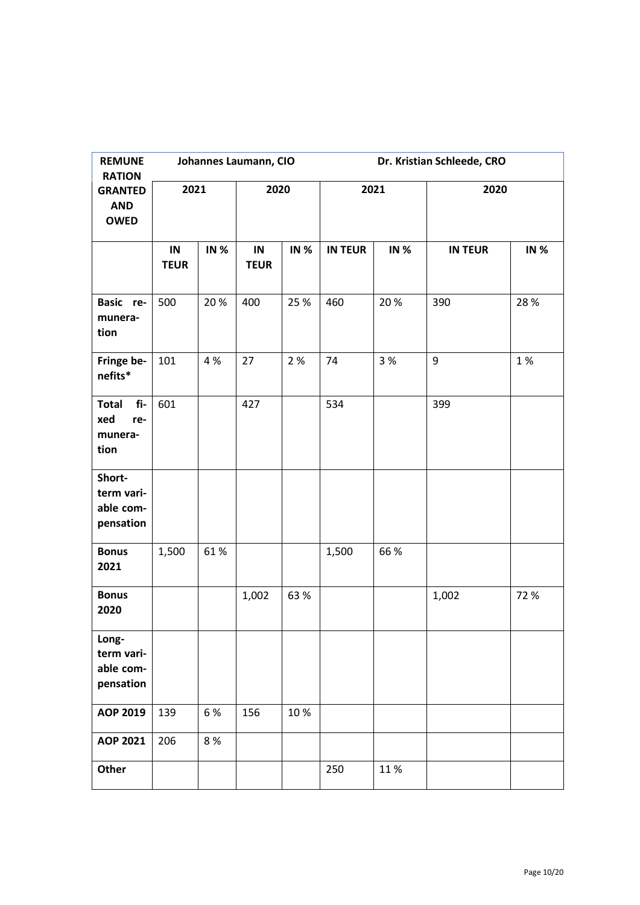| <b>REMUNE</b><br><b>RATION</b>                       |                   |             | Johannes Laumann, CIO |             | Dr. Kristian Schleede, CRO |             |                  |             |  |
|------------------------------------------------------|-------------------|-------------|-----------------------|-------------|----------------------------|-------------|------------------|-------------|--|
| <b>GRANTED</b><br><b>AND</b><br><b>OWED</b>          | 2021              |             | 2020                  |             | 2021                       |             | 2020             |             |  |
|                                                      | IN<br><b>TEUR</b> | <b>IN %</b> | IN<br><b>TEUR</b>     | <b>IN %</b> | <b>IN TEUR</b>             | <b>IN %</b> | <b>IN TEUR</b>   | <b>IN %</b> |  |
| Basic re-<br>munera-<br>tion                         | 500               | 20%         | 400                   | 25 %        | 460                        | 20%         | 390              | 28 %        |  |
| Fringe be-<br>nefits*                                | 101               | 4 %         | 27                    | 2 %         | 74                         | 3 %         | $\boldsymbol{9}$ | 1%          |  |
| <b>Total</b><br>fi-<br>xed<br>re-<br>munera-<br>tion | 601               |             | 427                   |             | 534                        |             | 399              |             |  |
| Short-<br>term vari-<br>able com-<br>pensation       |                   |             |                       |             |                            |             |                  |             |  |
| <b>Bonus</b><br>2021                                 | 1,500             | 61%         |                       |             | 1,500                      | 66 %        |                  |             |  |
| <b>Bonus</b><br>2020                                 |                   |             | 1,002                 | 63%         |                            |             | 1,002            | 72 %        |  |
| Long-<br>term vari-<br>able com-<br>pensation        |                   |             |                       |             |                            |             |                  |             |  |
| AOP 2019                                             | 139               | 6%          | 156                   | 10%         |                            |             |                  |             |  |
| <b>AOP 2021</b>                                      | 206               | 8 %         |                       |             |                            |             |                  |             |  |
| Other                                                |                   |             |                       |             | 250                        | 11%         |                  |             |  |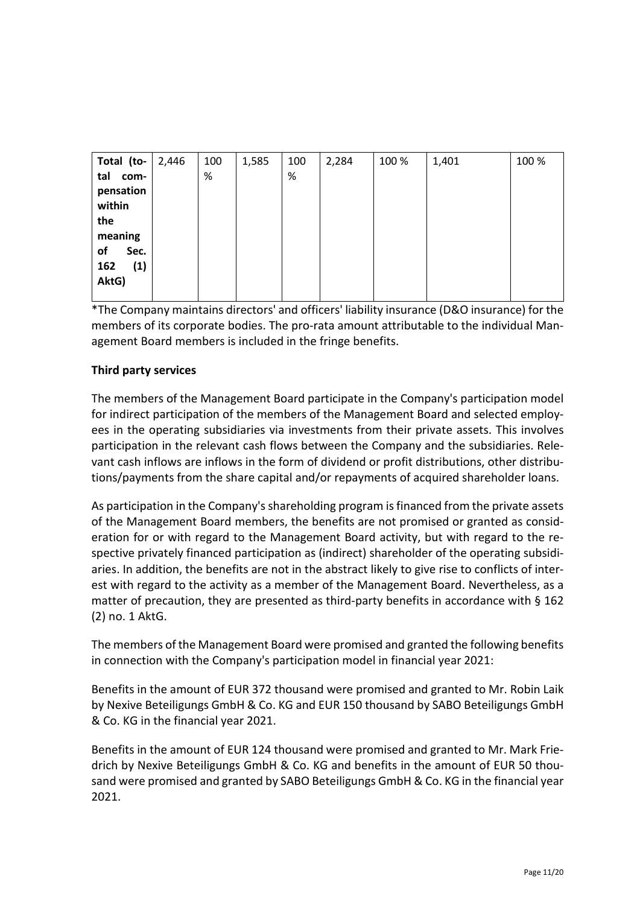| Total (to-  | 2,446 | 100 | 1,585 | 100  | 2,284 | 100 % | 1,401 | 100 % |
|-------------|-------|-----|-------|------|-------|-------|-------|-------|
| tal<br>com- |       | %   |       | $\%$ |       |       |       |       |
| pensation   |       |     |       |      |       |       |       |       |
| within      |       |     |       |      |       |       |       |       |
| the         |       |     |       |      |       |       |       |       |
| meaning     |       |     |       |      |       |       |       |       |
| of<br>Sec.  |       |     |       |      |       |       |       |       |
| (1)<br>162  |       |     |       |      |       |       |       |       |
| AktG)       |       |     |       |      |       |       |       |       |
|             |       |     |       |      |       |       |       |       |

\*The Company maintains directors' and officers' liability insurance (D&O insurance) for the members of its corporate bodies. The pro-rata amount attributable to the individual Management Board members is included in the fringe benefits.

# **Third party services**

The members of the Management Board participate in the Company's participation model for indirect participation of the members of the Management Board and selected employees in the operating subsidiaries via investments from their private assets. This involves participation in the relevant cash flows between the Company and the subsidiaries. Relevant cash inflows are inflows in the form of dividend or profit distributions, other distributions/payments from the share capital and/or repayments of acquired shareholder loans.

As participation in the Company's shareholding program is financed from the private assets of the Management Board members, the benefits are not promised or granted as consideration for or with regard to the Management Board activity, but with regard to the respective privately financed participation as (indirect) shareholder of the operating subsidiaries. In addition, the benefits are not in the abstract likely to give rise to conflicts of interest with regard to the activity as a member of the Management Board. Nevertheless, as a matter of precaution, they are presented as third-party benefits in accordance with § 162 (2) no. 1 AktG.

The members of the Management Board were promised and granted the following benefits in connection with the Company's participation model in financial year 2021:

Benefits in the amount of EUR 372 thousand were promised and granted to Mr. Robin Laik by Nexive Beteiligungs GmbH & Co. KG and EUR 150 thousand by SABO Beteiligungs GmbH & Co. KG in the financial year 2021.

Benefits in the amount of EUR 124 thousand were promised and granted to Mr. Mark Friedrich by Nexive Beteiligungs GmbH & Co. KG and benefits in the amount of EUR 50 thousand were promised and granted by SABO Beteiligungs GmbH & Co. KG in the financial year 2021.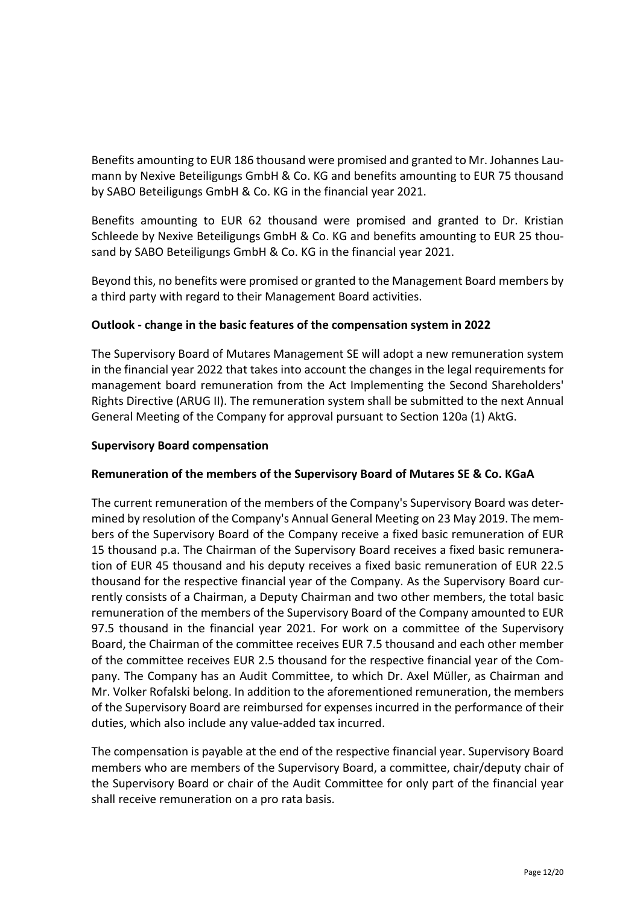Benefits amounting to EUR 186 thousand were promised and granted to Mr. Johannes Laumann by Nexive Beteiligungs GmbH & Co. KG and benefits amounting to EUR 75 thousand by SABO Beteiligungs GmbH & Co. KG in the financial year 2021.

Benefits amounting to EUR 62 thousand were promised and granted to Dr. Kristian Schleede by Nexive Beteiligungs GmbH & Co. KG and benefits amounting to EUR 25 thousand by SABO Beteiligungs GmbH & Co. KG in the financial year 2021.

Beyond this, no benefits were promised or granted to the Management Board members by a third party with regard to their Management Board activities.

# **Outlook - change in the basic features of the compensation system in 2022**

The Supervisory Board of Mutares Management SE will adopt a new remuneration system in the financial year 2022 that takes into account the changes in the legal requirements for management board remuneration from the Act Implementing the Second Shareholders' Rights Directive (ARUG II). The remuneration system shall be submitted to the next Annual General Meeting of the Company for approval pursuant to Section 120a (1) AktG.

### **Supervisory Board compensation**

### **Remuneration of the members of the Supervisory Board of Mutares SE & Co. KGaA**

The current remuneration of the members of the Company's Supervisory Board was determined by resolution of the Company's Annual General Meeting on 23 May 2019. The members of the Supervisory Board of the Company receive a fixed basic remuneration of EUR 15 thousand p.a. The Chairman of the Supervisory Board receives a fixed basic remuneration of EUR 45 thousand and his deputy receives a fixed basic remuneration of EUR 22.5 thousand for the respective financial year of the Company. As the Supervisory Board currently consists of a Chairman, a Deputy Chairman and two other members, the total basic remuneration of the members of the Supervisory Board of the Company amounted to EUR 97.5 thousand in the financial year 2021. For work on a committee of the Supervisory Board, the Chairman of the committee receives EUR 7.5 thousand and each other member of the committee receives EUR 2.5 thousand for the respective financial year of the Company. The Company has an Audit Committee, to which Dr. Axel Müller, as Chairman and Mr. Volker Rofalski belong. In addition to the aforementioned remuneration, the members of the Supervisory Board are reimbursed for expenses incurred in the performance of their duties, which also include any value-added tax incurred.

The compensation is payable at the end of the respective financial year. Supervisory Board members who are members of the Supervisory Board, a committee, chair/deputy chair of the Supervisory Board or chair of the Audit Committee for only part of the financial year shall receive remuneration on a pro rata basis.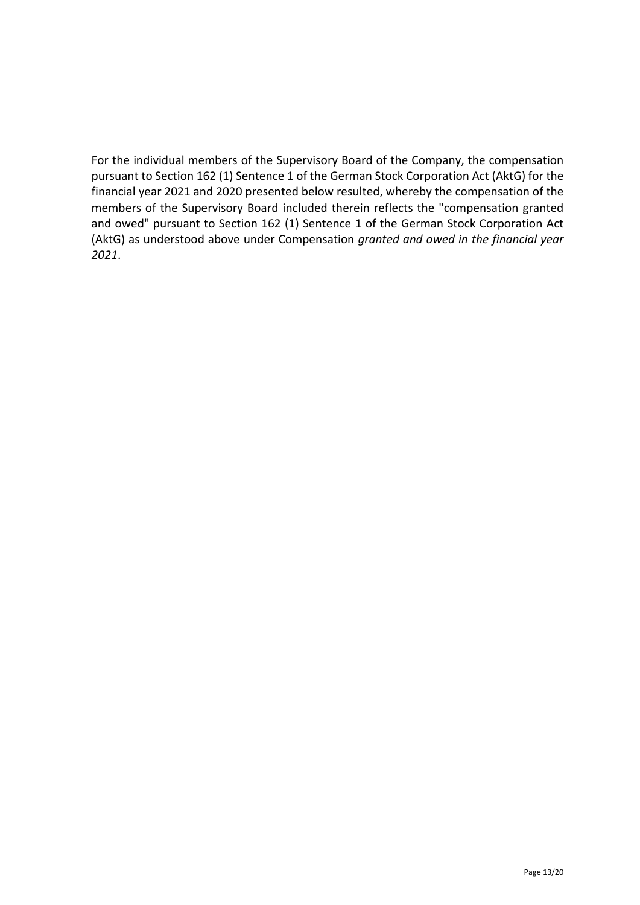For the individual members of the Supervisory Board of the Company, the compensation pursuant to Section 162 (1) Sentence 1 of the German Stock Corporation Act (AktG) for the financial year 2021 and 2020 presented below resulted, whereby the compensation of the members of the Supervisory Board included therein reflects the "compensation granted and owed" pursuant to Section 162 (1) Sentence 1 of the German Stock Corporation Act (AktG) as understood above under Compensation *granted and owed in the financial year 2021*.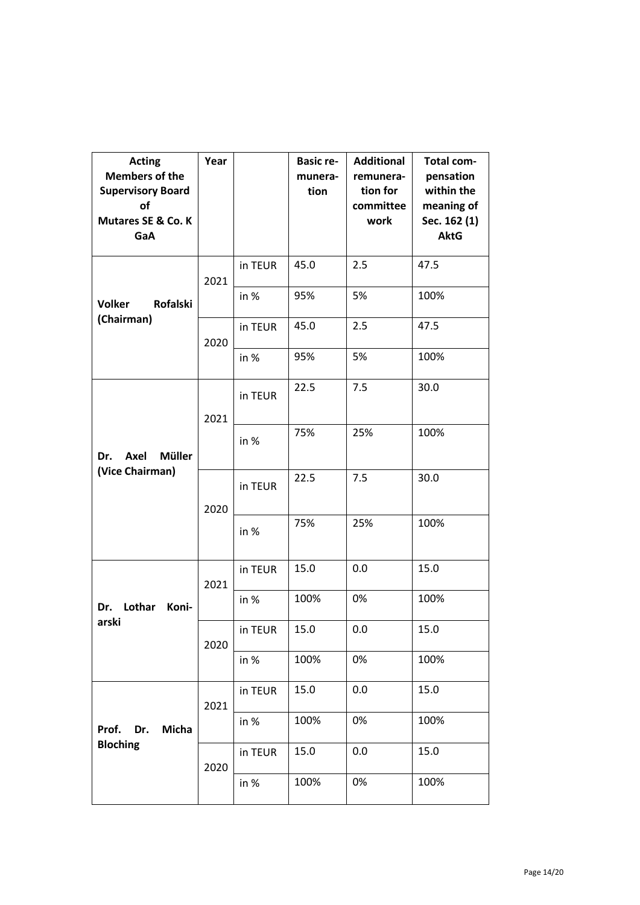| <b>Acting</b><br><b>Members of the</b><br><b>Supervisory Board</b><br>of<br><b>Mutares SE &amp; Co. K</b><br>GaA | Year |         | <b>Basic re-</b><br>munera-<br>tion | <b>Additional</b><br>remunera-<br>tion for<br>committee<br>work | <b>Total com-</b><br>pensation<br>within the<br>meaning of<br>Sec. 162 (1)<br><b>AktG</b> |
|------------------------------------------------------------------------------------------------------------------|------|---------|-------------------------------------|-----------------------------------------------------------------|-------------------------------------------------------------------------------------------|
|                                                                                                                  | 2021 | in TEUR | 45.0                                | 2.5                                                             | 47.5                                                                                      |
| Rofalski<br><b>Volker</b>                                                                                        |      | in %    | 95%                                 | 5%                                                              | 100%                                                                                      |
| (Chairman)                                                                                                       | 2020 | in TEUR | 45.0                                | 2.5                                                             | 47.5                                                                                      |
|                                                                                                                  |      | in %    | 95%                                 | 5%                                                              | 100%                                                                                      |
|                                                                                                                  | 2021 | in TEUR | 22.5                                | 7.5                                                             | 30.0                                                                                      |
| <b>Müller</b><br>Axel<br>Dr.                                                                                     |      | in %    | 75%                                 | 25%                                                             | 100%                                                                                      |
| (Vice Chairman)                                                                                                  | 2020 | in TEUR | 22.5                                | 7.5                                                             | 30.0                                                                                      |
|                                                                                                                  |      | in %    | 75%                                 | 25%                                                             | 100%                                                                                      |
|                                                                                                                  | 2021 | in TEUR | 15.0                                | 0.0                                                             | 15.0                                                                                      |
| Lothar<br>Dr.<br>Koni-                                                                                           |      | in %    | 100%                                | 0%                                                              | 100%                                                                                      |
| arski                                                                                                            | 2020 | in TEUR | 15.0                                | 0.0                                                             | 15.0                                                                                      |
|                                                                                                                  |      | in %    | 100%                                | 0%                                                              | 100%                                                                                      |
|                                                                                                                  | 2021 | in TEUR | 15.0                                | 0.0                                                             | 15.0                                                                                      |
| Prof. Dr.<br>Micha                                                                                               |      | in $%$  | 100%                                | 0%                                                              | 100%                                                                                      |
| <b>Bloching</b>                                                                                                  | 2020 | in TEUR | 15.0                                | 0.0                                                             | 15.0                                                                                      |
|                                                                                                                  |      | in %    | 100%                                | 0%                                                              | 100%                                                                                      |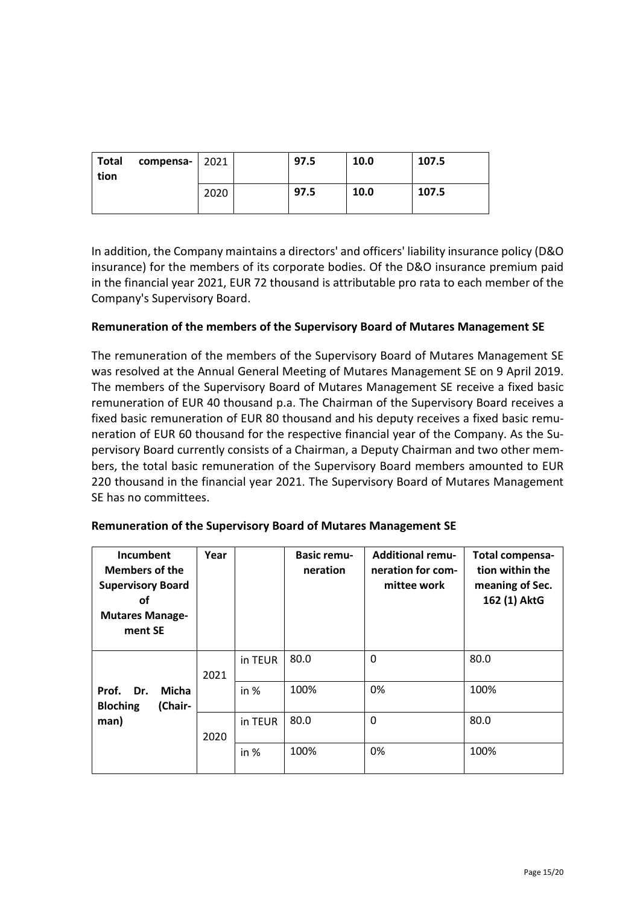| Total<br>tion | compensa- $ 2021$ |      | 97.5 | 10.0 | 107.5 |
|---------------|-------------------|------|------|------|-------|
|               |                   | 2020 | 97.5 | 10.0 | 107.5 |

In addition, the Company maintains a directors' and officers' liability insurance policy (D&O insurance) for the members of its corporate bodies. Of the D&O insurance premium paid in the financial year 2021, EUR 72 thousand is attributable pro rata to each member of the Company's Supervisory Board.

# **Remuneration of the members of the Supervisory Board of Mutares Management SE**

The remuneration of the members of the Supervisory Board of Mutares Management SE was resolved at the Annual General Meeting of Mutares Management SE on 9 April 2019. The members of the Supervisory Board of Mutares Management SE receive a fixed basic remuneration of EUR 40 thousand p.a. The Chairman of the Supervisory Board receives a fixed basic remuneration of EUR 80 thousand and his deputy receives a fixed basic remuneration of EUR 60 thousand for the respective financial year of the Company. As the Supervisory Board currently consists of a Chairman, a Deputy Chairman and two other members, the total basic remuneration of the Supervisory Board members amounted to EUR 220 thousand in the financial year 2021. The Supervisory Board of Mutares Management SE has no committees.

| Incumbent<br><b>Members of the</b><br><b>Supervisory Board</b><br>οf<br><b>Mutares Manage-</b><br>ment SE | Year |         | <b>Basic remu-</b><br>neration | <b>Additional remu-</b><br>neration for com-<br>mittee work | Total compensa-<br>tion within the<br>meaning of Sec.<br>162 (1) AktG |
|-----------------------------------------------------------------------------------------------------------|------|---------|--------------------------------|-------------------------------------------------------------|-----------------------------------------------------------------------|
|                                                                                                           | 2021 | in TEUR | 80.0                           | 0                                                           | 80.0                                                                  |
| Prof. Dr.<br>Micha<br>(Chair-<br><b>Bloching</b>                                                          |      | in $%$  | 100%                           | 0%                                                          | 100%                                                                  |
| man)                                                                                                      | 2020 | in TEUR | 80.0                           | 0                                                           | 80.0                                                                  |
|                                                                                                           |      | in %    | 100%                           | 0%                                                          | 100%                                                                  |

### **Remuneration of the Supervisory Board of Mutares Management SE**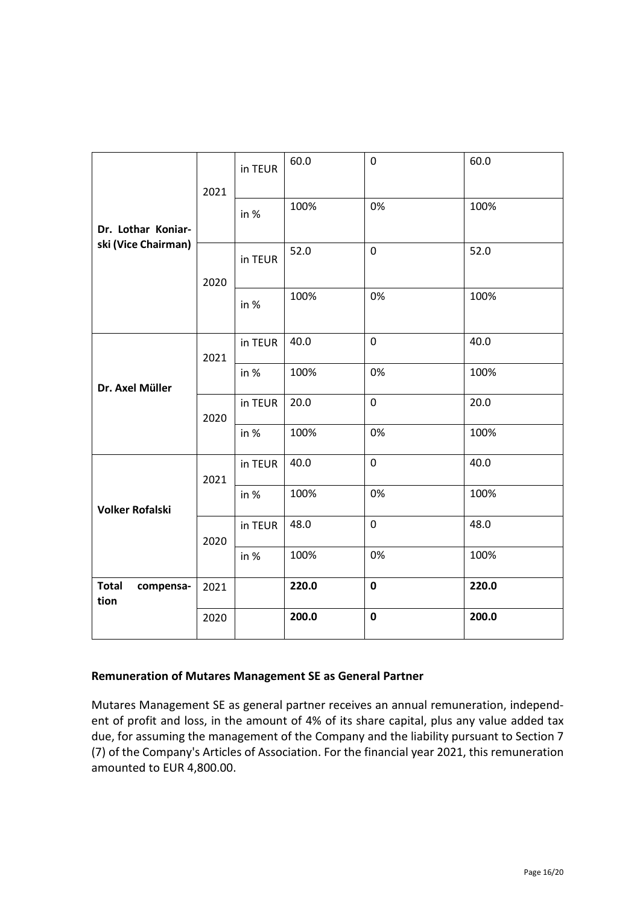|                                   | 2021 | in TEUR | 60.0  | $\mathbf 0$ | 60.0  |
|-----------------------------------|------|---------|-------|-------------|-------|
| Dr. Lothar Koniar-                |      | in %    | 100%  | 0%          | 100%  |
| ski (Vice Chairman)               | 2020 | in TEUR | 52.0  | $\mathbf 0$ | 52.0  |
|                                   |      | in %    | 100%  | 0%          | 100%  |
|                                   | 2021 | in TEUR | 40.0  | $\mathbf 0$ | 40.0  |
| Dr. Axel Müller                   | 2020 | in %    | 100%  | 0%          | 100%  |
|                                   |      | in TEUR | 20.0  | $\mathbf 0$ | 20.0  |
|                                   |      | in %    | 100%  | 0%          | 100%  |
|                                   | 2021 | in TEUR | 40.0  | $\pmb{0}$   | 40.0  |
| <b>Volker Rofalski</b>            |      | in %    | 100%  | 0%          | 100%  |
|                                   | 2020 | in TEUR | 48.0  | $\mathbf 0$ | 48.0  |
|                                   |      | in %    | 100%  | 0%          | 100%  |
| <b>Total</b><br>compensa-<br>tion | 2021 |         | 220.0 | $\mathbf 0$ | 220.0 |
|                                   | 2020 |         | 200.0 | $\mathbf 0$ | 200.0 |

### **Remuneration of Mutares Management SE as General Partner**

Mutares Management SE as general partner receives an annual remuneration, independent of profit and loss, in the amount of 4% of its share capital, plus any value added tax due, for assuming the management of the Company and the liability pursuant to Section 7 (7) of the Company's Articles of Association. For the financial year 2021, this remuneration amounted to EUR 4,800.00.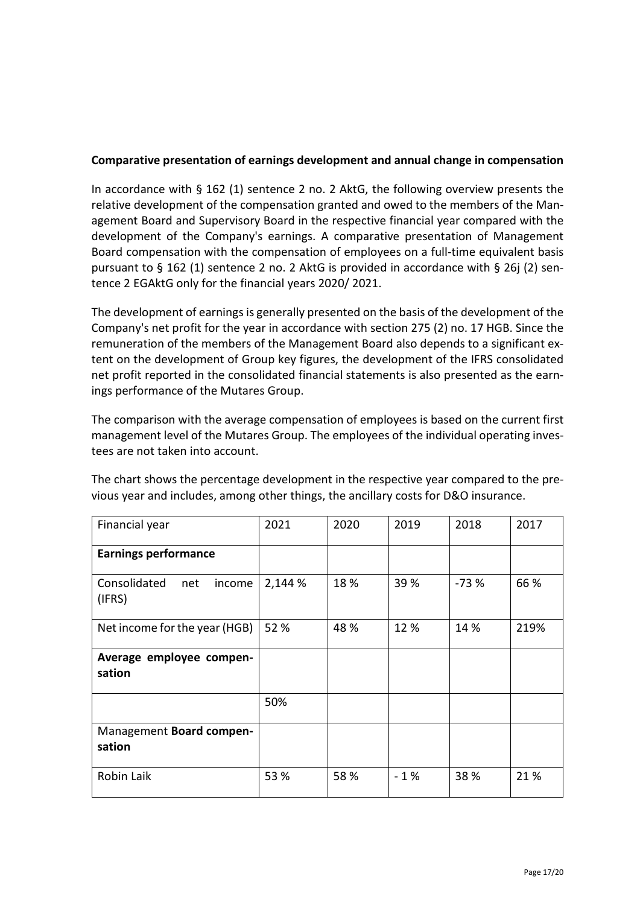# **Comparative presentation of earnings development and annual change in compensation**

In accordance with § 162 (1) sentence 2 no. 2 AktG, the following overview presents the relative development of the compensation granted and owed to the members of the Management Board and Supervisory Board in the respective financial year compared with the development of the Company's earnings. A comparative presentation of Management Board compensation with the compensation of employees on a full-time equivalent basis pursuant to  $\S$  162 (1) sentence 2 no. 2 AktG is provided in accordance with  $\S$  26j (2) sentence 2 EGAktG only for the financial years 2020/ 2021.

The development of earnings is generally presented on the basis of the development of the Company's net profit for the year in accordance with section 275 (2) no. 17 HGB. Since the remuneration of the members of the Management Board also depends to a significant extent on the development of Group key figures, the development of the IFRS consolidated net profit reported in the consolidated financial statements is also presented as the earnings performance of the Mutares Group.

The comparison with the average compensation of employees is based on the current first management level of the Mutares Group. The employees of the individual operating investees are not taken into account.

The chart shows the percentage development in the respective year compared to the previous year and includes, among other things, the ancillary costs for D&O insurance.

| Financial year                          | 2021    | 2020 | 2019  | 2018   | 2017 |
|-----------------------------------------|---------|------|-------|--------|------|
| <b>Earnings performance</b>             |         |      |       |        |      |
| Consolidated<br>income<br>net<br>(IFRS) | 2,144 % | 18%  | 39 %  | $-73%$ | 66 % |
| Net income for the year (HGB)           | 52 %    | 48 % | 12%   | 14 %   | 219% |
| Average employee compen-<br>sation      |         |      |       |        |      |
|                                         | 50%     |      |       |        |      |
| Management Board compen-<br>sation      |         |      |       |        |      |
| Robin Laik                              | 53 %    | 58%  | $-1%$ | 38%    | 21%  |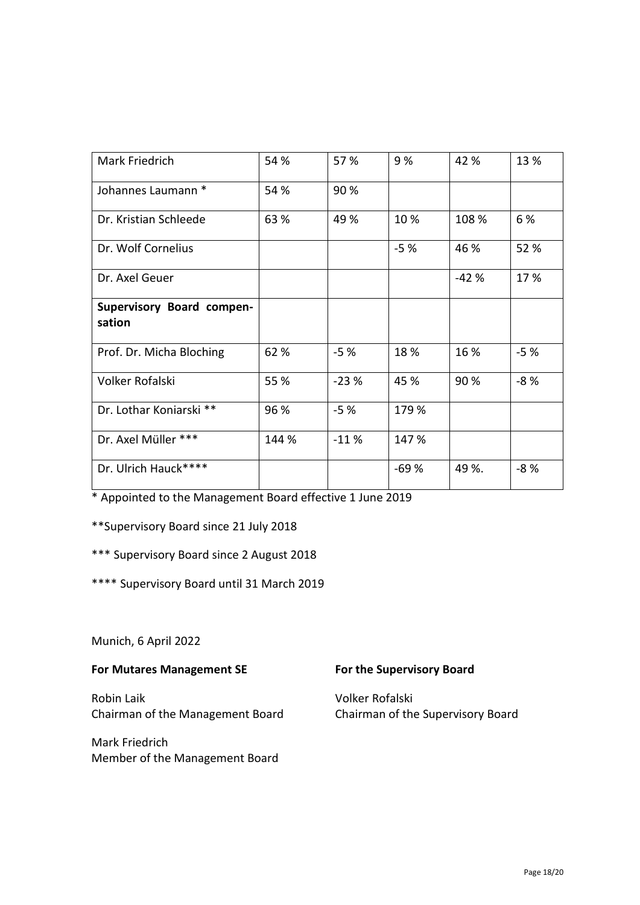| Mark Friedrich            | 54 %  | 57 %   | 9%     | 42 %   | 13 %  |
|---------------------------|-------|--------|--------|--------|-------|
| Johannes Laumann *        | 54 %  | 90%    |        |        |       |
| Dr. Kristian Schleede     | 63 %  | 49 %   | 10%    | 108 %  | 6 %   |
| Dr. Wolf Cornelius        |       |        | $-5%$  | 46 %   | 52 %  |
| Dr. Axel Geuer            |       |        |        | $-42%$ | 17%   |
| Supervisory Board compen- |       |        |        |        |       |
| sation                    |       |        |        |        |       |
| Prof. Dr. Micha Bloching  | 62%   | $-5%$  | 18%    | 16 %   | $-5%$ |
| Volker Rofalski           | 55 %  | $-23%$ | 45 %   | 90 %   | $-8%$ |
| Dr. Lothar Koniarski **   | 96 %  | $-5%$  | 179 %  |        |       |
| Dr. Axel Müller ***       | 144 % | $-11%$ | 147 %  |        |       |
| Dr. Ulrich Hauck****      |       |        | $-69%$ | 49 %.  | $-8%$ |

\* Appointed to the Management Board effective 1 June 2019

\*\*Supervisory Board since 21 July 2018

\*\*\* Supervisory Board since 2 August 2018

\*\*\*\* Supervisory Board until 31 March 2019

Munich, 6 April 2022

**For Mutares Management SE For the Supervisory Board**

Robin Laik Volker Rofalski Chairman of the Management Board Chairman of the Supervisory Board

Mark Friedrich Member of the Management Board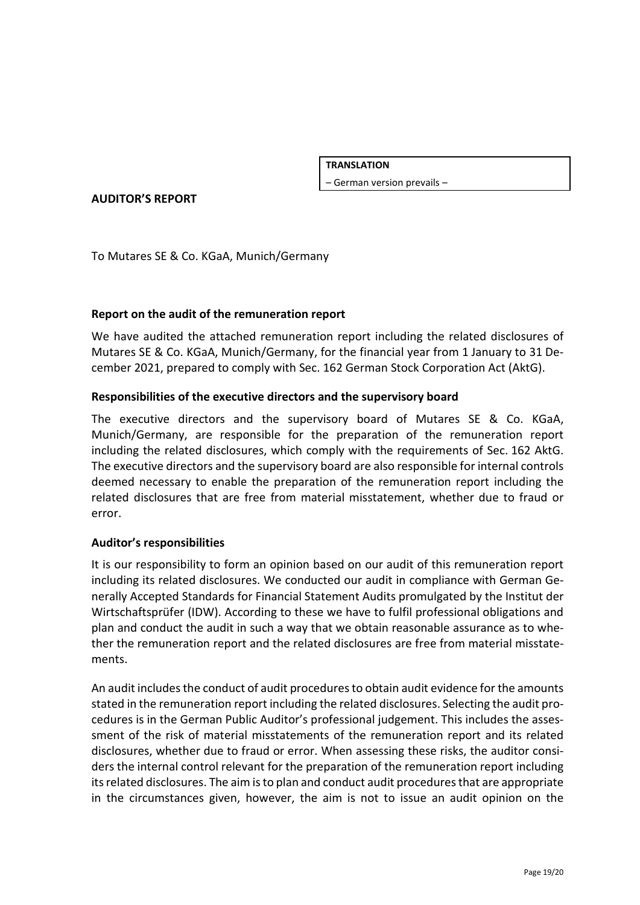**TRANSLATION**

– German version prevails –

**AUDITOR'S REPORT**

To Mutares SE & Co. KGaA, Munich/Germany

### **Report on the audit of the remuneration report**

We have audited the attached remuneration report including the related disclosures of Mutares SE & Co. KGaA, Munich/Germany, for the financial year from 1 January to 31 December 2021, prepared to comply with Sec. 162 German Stock Corporation Act (AktG).

#### **Responsibilities of the executive directors and the supervisory board**

The executive directors and the supervisory board of Mutares SE & Co. KGaA, Munich/Germany, are responsible for the preparation of the remuneration report including the related disclosures, which comply with the requirements of Sec. 162 AktG. The executive directors and the supervisory board are also responsible for internal controls deemed necessary to enable the preparation of the remuneration report including the related disclosures that are free from material misstatement, whether due to fraud or error.

#### **Auditor's responsibilities**

It is our responsibility to form an opinion based on our audit of this remuneration report including its related disclosures. We conducted our audit in compliance with German Generally Accepted Standards for Financial Statement Audits promulgated by the Institut der Wirtschaftsprüfer (IDW). According to these we have to fulfil professional obligations and plan and conduct the audit in such a way that we obtain reasonable assurance as to whether the remuneration report and the related disclosures are free from material misstatements.

An audit includes the conduct of audit procedures to obtain audit evidence for the amounts stated in the remuneration report including the related disclosures. Selecting the audit procedures is in the German Public Auditor's professional judgement. This includes the assessment of the risk of material misstatements of the remuneration report and its related disclosures, whether due to fraud or error. When assessing these risks, the auditor considers the internal control relevant for the preparation of the remuneration report including its related disclosures. The aim is to plan and conduct audit procedures that are appropriate in the circumstances given, however, the aim is not to issue an audit opinion on the